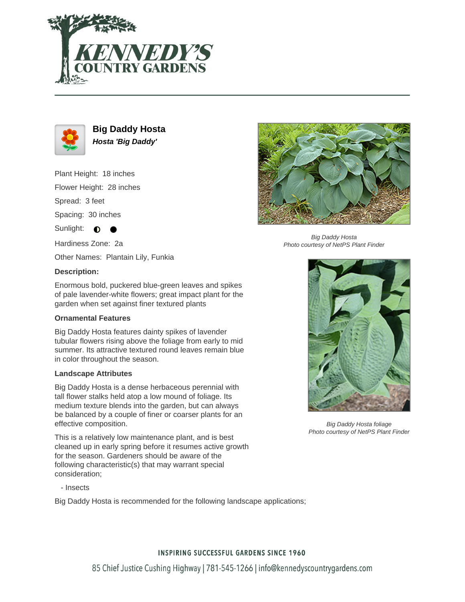



**Big Daddy Hosta Hosta 'Big Daddy'**

Plant Height: 18 inches

Flower Height: 28 inches

Spread: 3 feet

Spacing: 30 inches

Sunlight:  $\bullet$ 

Hardiness Zone: 2a

Other Names: Plantain Lily, Funkia

## **Description:**

Enormous bold, puckered blue-green leaves and spikes of pale lavender-white flowers; great impact plant for the garden when set against finer textured plants

## **Ornamental Features**

Big Daddy Hosta features dainty spikes of lavender tubular flowers rising above the foliage from early to mid summer. Its attractive textured round leaves remain blue in color throughout the season.

#### **Landscape Attributes**

Big Daddy Hosta is a dense herbaceous perennial with tall flower stalks held atop a low mound of foliage. Its medium texture blends into the garden, but can always be balanced by a couple of finer or coarser plants for an effective composition.

This is a relatively low maintenance plant, and is best cleaned up in early spring before it resumes active growth for the season. Gardeners should be aware of the following characteristic(s) that may warrant special consideration;

- Insects

Big Daddy Hosta is recommended for the following landscape applications;



Big Daddy Hosta Photo courtesy of NetPS Plant Finder



Big Daddy Hosta foliage Photo courtesy of NetPS Plant Finder

## **INSPIRING SUCCESSFUL GARDENS SINCE 1960**